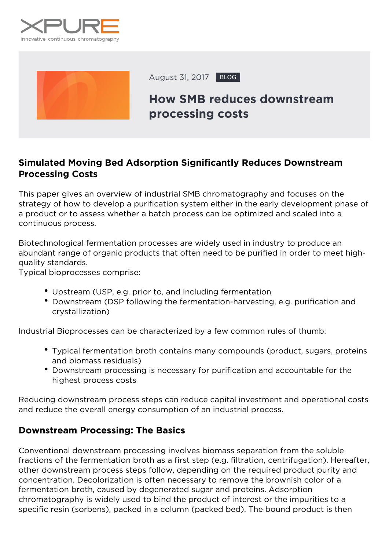



August 31, 2017 BLOG

# **How SMB reduces downstream processing costs**

## **Simulated Moving Bed Adsorption Significantly Reduces Downstream Processing Costs**

This paper gives an overview of industrial SMB chromatography and focuses on the strategy of how to develop a purification system either in the early development phase of a product or to assess whether a batch process can be optimized and scaled into a continuous process.

Biotechnological fermentation processes are widely used in industry to produce an abundant range of organic products that often need to be purified in order to meet highquality standards.

Typical bioprocesses comprise:

- Upstream (USP, e.g. prior to, and including fermentation
- Downstream (DSP following the fermentation-harvesting, e.g. purification and crystallization)

Industrial Bioprocesses can be characterized by a few common rules of thumb:

- Typical fermentation broth contains many compounds (product, sugars, proteins and biomass residuals)
- Downstream processing is necessary for purification and accountable for the highest process costs

Reducing downstream process steps can reduce capital investment and operational costs and reduce the overall energy consumption of an industrial process.

#### **Downstream Processing: The Basics**

Conventional downstream processing involves biomass separation from the soluble fractions of the fermentation broth as a first step (e.g. filtration, centrifugation). Hereafter, other downstream process steps follow, depending on the required product purity and concentration. Decolorization is often necessary to remove the brownish color of a fermentation broth, caused by degenerated sugar and proteins. Adsorption chromatography is widely used to bind the product of interest or the impurities to a specific resin (sorbens), packed in a column (packed bed). The bound product is then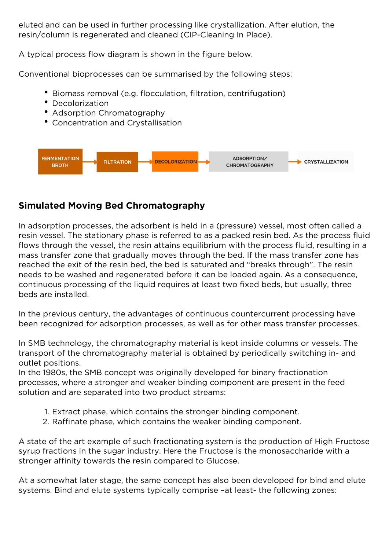eluted and can be used in further processing like crystallization. After elution, the resin/column is regenerated and cleaned (CIP-Cleaning In Place).

A typical process flow diagram is shown in the figure below.

Conventional bioprocesses can be summarised by the following steps:

- Biomass removal (e.g. flocculation, filtration, centrifugation)
- Decolorization
- Adsorption Chromatography
- Concentration and Crystallisation



# **Simulated Moving Bed Chromatography**

In adsorption processes, the adsorbent is held in a (pressure) vessel, most often called a resin vessel. The stationary phase is referred to as a packed resin bed. As the process fluid flows through the vessel, the resin attains equilibrium with the process fluid, resulting in a mass transfer zone that gradually moves through the bed. If the mass transfer zone has reached the exit of the resin bed, the bed is saturated and "breaks through". The resin needs to be washed and regenerated before it can be loaded again. As a consequence, continuous processing of the liquid requires at least two fixed beds, but usually, three beds are installed.

In the previous century, the advantages of continuous countercurrent processing have been recognized for adsorption processes, as well as for other mass transfer processes.

In SMB technology, the chromatography material is kept inside columns or vessels. The transport of the chromatography material is obtained by periodically switching in- and outlet positions.

In the 1980s, the SMB concept was originally developed for binary fractionation processes, where a stronger and weaker binding component are present in the feed solution and are separated into two product streams:

- 1. Extract phase, which contains the stronger binding component.
- 2. Raffinate phase, which contains the weaker binding component.

A state of the art example of such fractionating system is the production of High Fructose syrup fractions in the sugar industry. Here the Fructose is the monosaccharide with a stronger affinity towards the resin compared to Glucose.

At a somewhat later stage, the same concept has also been developed for bind and elute systems. Bind and elute systems typically comprise –at least- the following zones: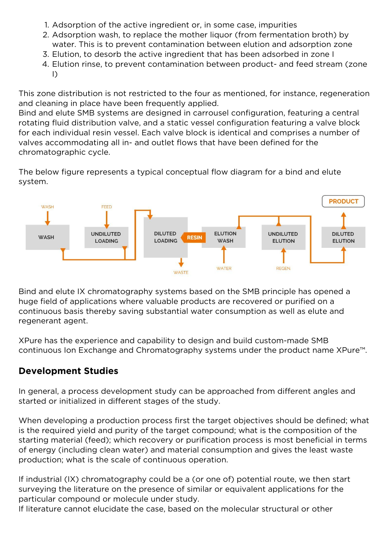- 1. Adsorption of the active ingredient or, in some case, impurities
- 2. Adsorption wash, to replace the mother liquor (from fermentation broth) by water. This is to prevent contamination between elution and adsorption zone
- 3. Elution, to desorb the active ingredient that has been adsorbed in zone I
- 4. Elution rinse, to prevent contamination between product- and feed stream (zone I)

This zone distribution is not restricted to the four as mentioned, for instance, regeneration and cleaning in place have been frequently applied.

Bind and elute SMB systems are designed in carrousel configuration, featuring a central rotating fluid distribution valve, and a static vessel configuration featuring a valve block for each individual resin vessel. Each valve block is identical and comprises a number of valves accommodating all in- and outlet flows that have been defined for the chromatographic cycle.

The below figure represents a typical conceptual flow diagram for a bind and elute system.



Bind and elute IX chromatography systems based on the SMB principle has opened a huge field of applications where valuable products are recovered or purified on a continuous basis thereby saving substantial water consumption as well as elute and regenerant agent.

XPure has the experience and capability to design and build custom-made SMB continuous Ion Exchange and Chromatography systems under the product name XPure™.

### **Development Studies**

In general, a process development study can be approached from different angles and started or initialized in different stages of the study.

When developing a production process first the target objectives should be defined; what is the required yield and purity of the target compound; what is the composition of the starting material (feed); which recovery or purification process is most beneficial in terms of energy (including clean water) and material consumption and gives the least waste production; what is the scale of continuous operation.

If industrial (IX) chromatography could be a (or one of) potential route, we then start surveying the literature on the presence of similar or equivalent applications for the particular compound or molecule under study.

If literature cannot elucidate the case, based on the molecular structural or other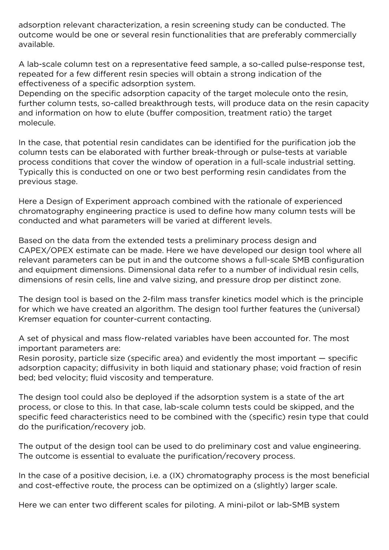adsorption relevant characterization, a resin screening study can be conducted. The outcome would be one or several resin functionalities that are preferably commercially available.

A lab-scale column test on a representative feed sample, a so-called pulse-response test, repeated for a few different resin species will obtain a strong indication of the effectiveness of a specific adsorption system.

Depending on the specific adsorption capacity of the target molecule onto the resin, further column tests, so-called breakthrough tests, will produce data on the resin capacity and information on how to elute (buffer composition, treatment ratio) the target molecule.

In the case, that potential resin candidates can be identified for the purification job the column tests can be elaborated with further break-through or pulse-tests at variable process conditions that cover the window of operation in a full-scale industrial setting. Typically this is conducted on one or two best performing resin candidates from the previous stage.

Here a Design of Experiment approach combined with the rationale of experienced chromatography engineering practice is used to define how many column tests will be conducted and what parameters will be varied at different levels.

Based on the data from the extended tests a preliminary process design and CAPEX/OPEX estimate can be made. Here we have developed our design tool where all relevant parameters can be put in and the outcome shows a full-scale SMB configuration and equipment dimensions. Dimensional data refer to a number of individual resin cells, dimensions of resin cells, line and valve sizing, and pressure drop per distinct zone.

The design tool is based on the 2-film mass transfer kinetics model which is the principle for which we have created an algorithm. The design tool further features the (universal) Kremser equation for counter-current contacting.

A set of physical and mass flow-related variables have been accounted for. The most important parameters are:

Resin porosity, particle size (specific area) and evidently the most important — specific adsorption capacity; diffusivity in both liquid and stationary phase; void fraction of resin bed; bed velocity; fluid viscosity and temperature.

The design tool could also be deployed if the adsorption system is a state of the art process, or close to this. In that case, lab-scale column tests could be skipped, and the specific feed characteristics need to be combined with the (specific) resin type that could do the purification/recovery job.

The output of the design tool can be used to do preliminary cost and value engineering. The outcome is essential to evaluate the purification/recovery process.

In the case of a positive decision, i.e. a (IX) chromatography process is the most beneficial and cost-effective route, the process can be optimized on a (slightly) larger scale.

Here we can enter two different scales for piloting. A mini-pilot or lab-SMB system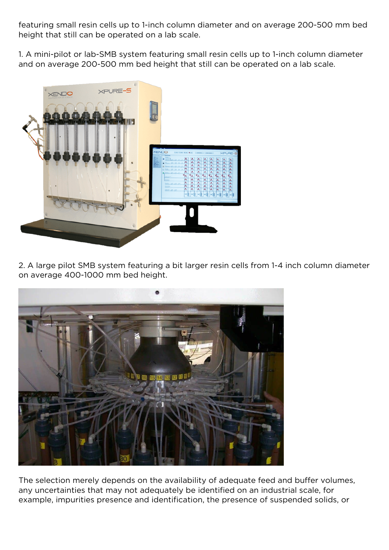featuring small resin cells up to 1-inch column diameter and on average 200-500 mm bed height that still can be operated on a lab scale.

1. A mini-pilot or lab-SMB system featuring small resin cells up to 1-inch column diameter and on average 200-500 mm bed height that still can be operated on a lab scale.



2. A large pilot SMB system featuring a bit larger resin cells from 1-4 inch column diameter on average 400-1000 mm bed height.



The selection merely depends on the availability of adequate feed and buffer volumes, any uncertainties that may not adequately be identified on an industrial scale, for example, impurities presence and identification, the presence of suspended solids, or